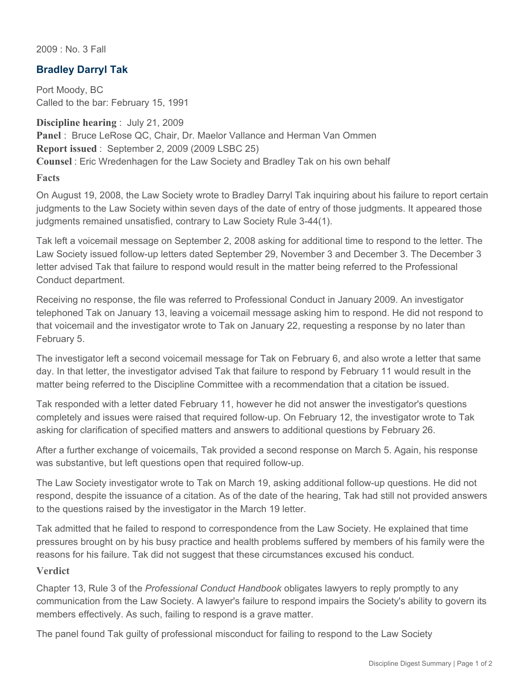2009 : No. 3 Fall

## **Bradley Darryl Tak**

Port Moody, BC Called to the bar: February 15, 1991

**Discipline hearing** : July 21, 2009 **Panel** : Bruce LeRose QC, Chair, Dr. Maelor Vallance and Herman Van Ommen **Report issued** : September 2, 2009 (2009 LSBC 25) **Counsel** : Eric Wredenhagen for the Law Society and Bradley Tak on his own behalf

**Facts**

On August 19, 2008, the Law Society wrote to Bradley Darryl Tak inquiring about his failure to report certain judgments to the Law Society within seven days of the date of entry of those judgments. It appeared those judgments remained unsatisfied, contrary to Law Society Rule 3-44(1).

Tak left a voicemail message on September 2, 2008 asking for additional time to respond to the letter. The Law Society issued follow-up letters dated September 29, November 3 and December 3. The December 3 letter advised Tak that failure to respond would result in the matter being referred to the Professional Conduct department.

Receiving no response, the file was referred to Professional Conduct in January 2009. An investigator telephoned Tak on January 13, leaving a voicemail message asking him to respond. He did not respond to that voicemail and the investigator wrote to Tak on January 22, requesting a response by no later than February 5.

The investigator left a second voicemail message for Tak on February 6, and also wrote a letter that same day. In that letter, the investigator advised Tak that failure to respond by February 11 would result in the matter being referred to the Discipline Committee with a recommendation that a citation be issued.

Tak responded with a letter dated February 11, however he did not answer the investigator's questions completely and issues were raised that required follow-up. On February 12, the investigator wrote to Tak asking for clarification of specified matters and answers to additional questions by February 26.

After a further exchange of voicemails, Tak provided a second response on March 5. Again, his response was substantive, but left questions open that required follow-up.

The Law Society investigator wrote to Tak on March 19, asking additional follow-up questions. He did not respond, despite the issuance of a citation. As of the date of the hearing, Tak had still not provided answers to the questions raised by the investigator in the March 19 letter.

Tak admitted that he failed to respond to correspondence from the Law Society. He explained that time pressures brought on by his busy practice and health problems suffered by members of his family were the reasons for his failure. Tak did not suggest that these circumstances excused his conduct.

## **Verdict**

Chapter 13, Rule 3 of the *Professional Conduct Handbook* obligates lawyers to reply promptly to any communication from the Law Society. A lawyer's failure to respond impairs the Society's ability to govern its members effectively. As such, failing to respond is a grave matter.

The panel found Tak guilty of professional misconduct for failing to respond to the Law Society